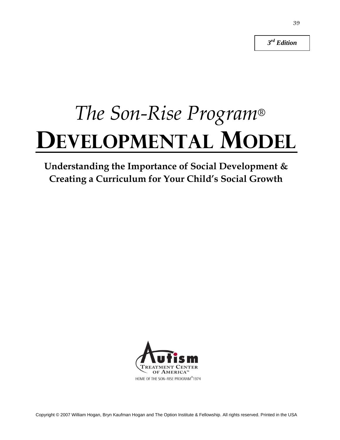*3 rd Edition*

# *The Son-Rise Program*® **DEVELOPMENTAL MODEL**

### **Understanding the Importance of Social Development & Creating a Curriculum for Your Child's Social Growth**

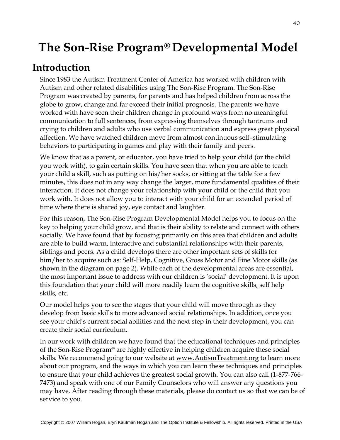### **The Son-Rise Program® Developmental Model**

### **Introduction**

Since 1983 the Autism Treatment Center of America has worked with children with Autism and other related disabilities using The Son-Rise Program. The Son-Rise Program was created by parents, for parents and has helped children from across the globe to grow, change and far exceed their initial prognosis. The parents we have worked with have seen their children change in profound ways from no meaningful communication to full sentences, from expressing themselves through tantrums and crying to children and adults who use verbal communication and express great physical affection. We have watched children move from almost continuous self–stimulating behaviors to participating in games and play with their family and peers.

We know that as a parent, or educator, you have tried to help your child (or the child you work with), to gain certain skills. You have seen that when you are able to teach your child a skill, such as putting on his/her socks, or sitting at the table for a few minutes, this does not in any way change the larger, more fundamental qualities of their interaction. It does not change your relationship with your child or the child that you work with. It does not allow you to interact with your child for an extended period of time where there is shared joy, eye contact and laughter.

For this reason, The Son-Rise Program Developmental Model helps you to focus on the key to helping your child grow, and that is their ability to relate and connect with others socially. We have found that by focusing primarily on this area that children and adults are able to build warm, interactive and substantial relationships with their parents, siblings and peers. As a child develops there are other important sets of skills for him/her to acquire such as: Self-Help, Cognitive, Gross Motor and Fine Motor skills (as shown in the diagram on page 2). While each of the developmental areas are essential, the most important issue to address with our children is 'social' development. It is upon this foundation that your child will more readily learn the cognitive skills, self help skills, etc.

Our model helps you to see the stages that your child will move through as they develop from basic skills to more advanced social relationships. In addition, once you see your child's current social abilities and the next step in their development, you can create their social curriculum.

In our work with children we have found that the educational techniques and principles of the Son-Rise Program® are highly effective in helping children acquire these social skills. We recommend going to our website at www.AutismTreatment.org to learn more about our program, and the ways in which you can learn these techniques and principles to ensure that your child achieves the greatest social growth. You can also call (1-877-766- 7473) and speak with one of our Family Counselors who will answer any questions you may have. After reading through these materials, please do contact us so that we can be of service to you.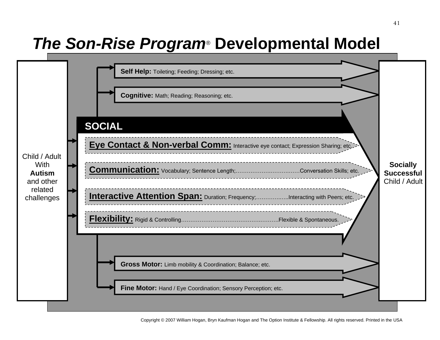## *The Son-Rise Program*® **Developmental Model**

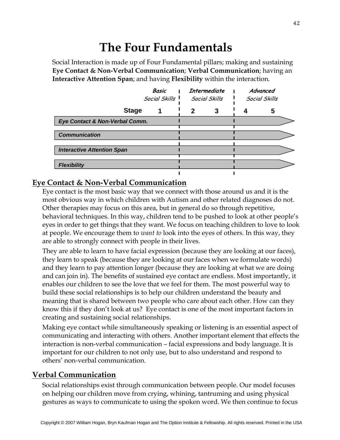### **The Four Fundamentals**

Social Interaction is made up of Four Fundamental pillars; making and sustaining **Eye Contact & Non-Verbal Communication**; **Verbal Communication**; having an **Interactive Attention Span**; and having **Flexibility** within the interaction.

|                                   | <b>Basic</b><br>Social Skills 1 |   | Intermediate<br>Social Skills | Advanced<br>Social Skills |
|-----------------------------------|---------------------------------|---|-------------------------------|---------------------------|
| <b>Stage</b>                      |                                 | 2 | 3                             | 5                         |
| Eye Contact & Non-Verbal Comm.    |                                 |   |                               |                           |
| <b>Communication</b>              |                                 |   |                               |                           |
| <b>Interactive Attention Span</b> |                                 |   |                               |                           |
| <b>Flexibility</b>                |                                 |   |                               |                           |

#### **Eye Contact & Non-Verbal Communication**

Eye contact is the most basic way that we connect with those around us and it is the most obvious way in which children with Autism and other related diagnoses do not. Other therapies may focus on this area, but in general do so through repetitive, behavioral techniques. In this way, children tend to be pushed to look at other people's eyes in order to get things that they want. We focus on teaching children to love to look at people. We encourage them to *want to* look into the eyes of others. In this way, they are able to strongly connect with people in their lives.

They are able to learn to have facial expression (because they are looking at our faces), they learn to speak (because they are looking at our faces when we formulate words) and they learn to pay attention longer (because they are looking at what we are doing and can join in). The benefits of sustained eye contact are endless. Most importantly, it enables our children to see the love that we feel for them. The most powerful way to build these social relationships is to help our children understand the beauty and meaning that is shared between two people who care about each other. How can they know this if they don't look at us? Eye contact is one of the most important factors in creating and sustaining social relationships.

Making eye contact while simultaneously speaking or listening is an essential aspect of communicating and interacting with others. Another important element that effects the interaction is non-verbal communication – facial expressions and body language. It is important for our children to not only use, but to also understand and respond to others' non-verbal communication.

#### **Verbal Communication**

Social relationships exist through communication between people. Our model focuses on helping our children move from crying, whining, tantruming and using physical gestures as ways to communicate to using the spoken word. We then continue to focus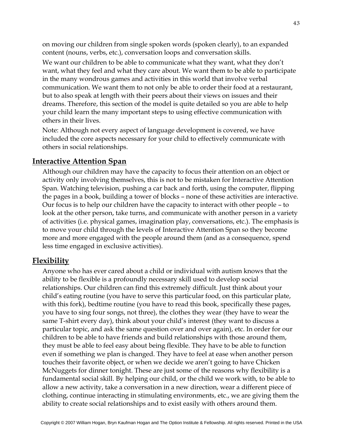on moving our children from single spoken words (spoken clearly), to an expanded content (nouns, verbs, etc.), conversation loops and conversation skills.

We want our children to be able to communicate what they want, what they don't want, what they feel and what they care about. We want them to be able to participate in the many wondrous games and activities in this world that involve verbal communication. We want them to not only be able to order their food at a restaurant, but to also speak at length with their peers about their views on issues and their dreams. Therefore, this section of the model is quite detailed so you are able to help your child learn the many important steps to using effective communication with others in their lives.

Note: Although not every aspect of language development is covered, we have included the core aspects necessary for your child to effectively communicate with others in social relationships.

#### **Interactive Attention Span**

Although our children may have the capacity to focus their attention on an object or activity only involving themselves, this is not to be mistaken for Interactive Attention Span. Watching television, pushing a car back and forth, using the computer, flipping the pages in a book, building a tower of blocks – none of these activities are interactive. Our focus is to help our children have the capacity to interact with other people – to look at the other person, take turns, and communicate with another person in a variety of activities (i.e. physical games, imagination play, conversations, etc.). The emphasis is to move your child through the levels of Interactive Attention Span so they become more and more engaged with the people around them (and as a consequence, spend less time engaged in exclusive activities).

#### **Flexibility**

Anyone who has ever cared about a child or individual with autism knows that the ability to be flexible is a profoundly necessary skill used to develop social relationships. Our children can find this extremely difficult. Just think about your child's eating routine (you have to serve this particular food, on this particular plate, with this fork), bedtime routine (you have to read this book, specifically these pages, you have to sing four songs, not three), the clothes they wear (they have to wear the same T-shirt every day), think about your child's interest (they want to discuss a particular topic, and ask the same question over and over again), etc. In order for our children to be able to have friends and build relationships with those around them, they must be able to feel easy about being flexible. They have to be able to function even if something we plan is changed. They have to feel at ease when another person touches their favorite object, or when we decide we aren't going to have Chicken McNuggets for dinner tonight. These are just some of the reasons why flexibility is a fundamental social skill. By helping our child, or the child we work with, to be able to allow a new activity, take a conversation in a new direction, wear a different piece of clothing, continue interacting in stimulating environments, etc., we are giving them the ability to create social relationships and to exist easily with others around them.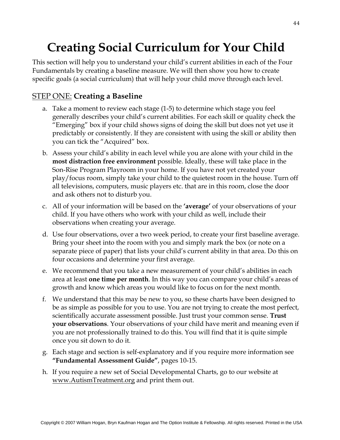### **Creating Social Curriculum for Your Child**

This section will help you to understand your child's current abilities in each of the Four Fundamentals by creating a baseline measure. We will then show you how to create specific goals (a social curriculum) that will help your child move through each level.

#### STEP ONE: **Creating a Baseline**

- a. Take a moment to review each stage (1-5) to determine which stage you feel generally describes your child's current abilities. For each skill or quality check the "Emerging" box if your child shows signs of doing the skill but does not yet use it predictably or consistently. If they are consistent with using the skill or ability then you can tick the "Acquired" box.
- b. Assess your child's ability in each level while you are alone with your child in the **most distraction free environment** possible. Ideally, these will take place in the Son-Rise Program Playroom in your home. If you have not yet created your play/focus room, simply take your child to the quietest room in the house. Turn off all televisions, computers, music players etc. that are in this room, close the door and ask others not to disturb you.
- c. All of your information will be based on the **'average'** of your observations of your child. If you have others who work with your child as well, include their observations when creating your average.
- d. Use four observations, over a two week period, to create your first baseline average. Bring your sheet into the room with you and simply mark the box (or note on a separate piece of paper) that lists your child's current ability in that area. Do this on four occasions and determine your first average.
- e. We recommend that you take a new measurement of your child's abilities in each area at least **one time per month**. In this way you can compare your child's areas of growth and know which areas you would like to focus on for the next month.
- f. We understand that this may be new to you, so these charts have been designed to be as simple as possible for you to use. You are not trying to create the most perfect, scientifically accurate assessment possible. Just trust your common sense. **Trust your observations**. Your observations of your child have merit and meaning even if you are not professionally trained to do this. You will find that it is quite simple once you sit down to do it.
- g. Each stage and section is self-explanatory and if you require more information see **"Fundamental Assessment Guide"**, pages 10-15.
- h. If you require a new set of Social Developmental Charts, go to our website at www.AutismTreatment.org and print them out.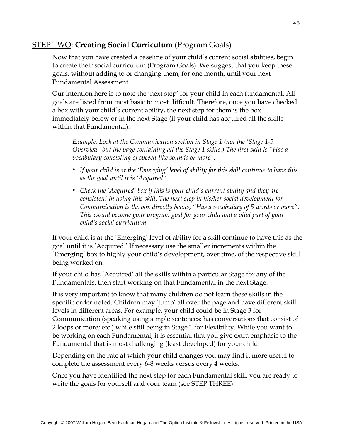#### STEP TWO: **Creating Social Curriculum** (Program Goals)

Now that you have created a baseline of your child's current social abilities, begin to create their social curriculum (Program Goals). We suggest that you keep these goals, without adding to or changing them, for one month, until your next Fundamental Assessment.

Our intention here is to note the 'next step' for your child in each fundamental. All goals are listed from most basic to most difficult. Therefore, once you have checked a box with your child's current ability, the next step for them is the box immediately below or in the next Stage (if your child has acquired all the skills within that Fundamental).

*Example: Look at the Communication section in Stage 1 (not the 'Stage 1-5 Overview' but the page containing all the Stage 1 skills.) The first skill is "Has a vocabulary consisting of speech-like sounds or more".*

- *If your child is at the 'Emerging' level of ability for this skill continue to have this as the goal until it is 'Acquired.'*
- *Check the 'Acquired' box if this is your child's current ability and they are consistent in using this skill. The next step in his/her social development for Communication is the box directly below, "Has a vocabulary of 5 words or more". This would become your program goal for your child and a vital part of your child's social curriculum.*

If your child is at the 'Emerging' level of ability for a skill continue to have this as the goal until it is 'Acquired.' If necessary use the smaller increments within the 'Emerging' box to highly your child's development, over time, of the respective skill being worked on.

If your child has 'Acquired' all the skills within a particular Stage for any of the Fundamentals, then start working on that Fundamental in the next Stage.

It is very important to know that many children do not learn these skills in the specific order noted. Children may 'jump' all over the page and have different skill levels in different areas. For example, your child could be in Stage 3 for Communication (speaking using simple sentences; has conversations that consist of 2 loops or more; etc.) while still being in Stage 1 for Flexibility. While you want to be working on each Fundamental, it is essential that you give extra emphasis to the Fundamental that is most challenging (least developed) for your child.

Depending on the rate at which your child changes you may find it more useful to complete the assessment every 6-8 weeks versus every 4 weeks.

Once you have identified the next step for each Fundamental skill, you are ready to write the goals for yourself and your team (see STEP THREE).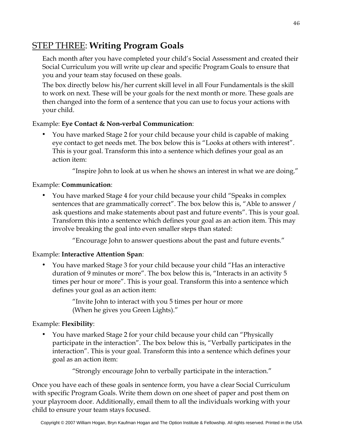#### STEP THREE: **Writing Program Goals**

Each month after you have completed your child's Social Assessment and created their Social Curriculum you will write up clear and specific Program Goals to ensure that you and your team stay focused on these goals.

The box directly below his/her current skill level in all Four Fundamentals is the skill to work on next. These will be your goals for the next month or more. These goals are then changed into the form of a sentence that you can use to focus your actions with your child.

#### Example: **Eye Contact & Non-verbal Communication**:

• You have marked Stage 2 for your child because your child is capable of making eye contact to get needs met. The box below this is "Looks at others with interest". This is your goal. Transform this into a sentence which defines your goal as an action item:

"Inspire John to look at us when he shows an interest in what we are doing."

#### Example: **Communication**:

• You have marked Stage 4 for your child because your child "Speaks in complex sentences that are grammatically correct". The box below this is, "Able to answer / ask questions and make statements about past and future events". This is your goal. Transform this into a sentence which defines your goal as an action item. This may involve breaking the goal into even smaller steps than stated:

"Encourage John to answer questions about the past and future events."

#### Example: **Interactive Attention Span**:

• You have marked Stage 3 for your child because your child "Has an interactive duration of 9 minutes or more". The box below this is, "Interacts in an activity 5 times per hour or more". This is your goal. Transform this into a sentence which defines your goal as an action item:

> "Invite John to interact with you 5 times per hour or more (When he gives you Green Lights)."

#### Example: **Flexibility**:

• You have marked Stage 2 for your child because your child can "Physically participate in the interaction". The box below this is, "Verbally participates in the interaction". This is your goal. Transform this into a sentence which defines your goal as an action item:

"Strongly encourage John to verbally participate in the interaction."

Once you have each of these goals in sentence form, you have a clear Social Curriculum with specific Program Goals. Write them down on one sheet of paper and post them on your playroom door. Additionally, email them to all the individuals working with your child to ensure your team stays focused.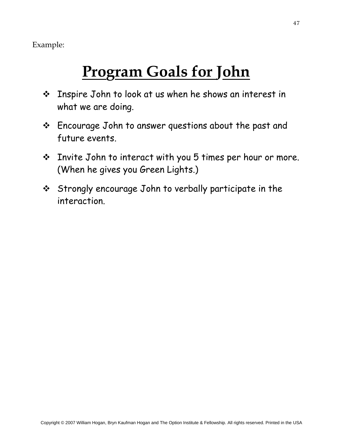Example:

## **Program Goals for John**

- Inspire John to look at us when he shows an interest in what we are doing.
- Encourage John to answer questions about the past and future events.
- Invite John to interact with you 5 times per hour or more. (When he gives you Green Lights.)
- Strongly encourage John to verbally participate in the interaction.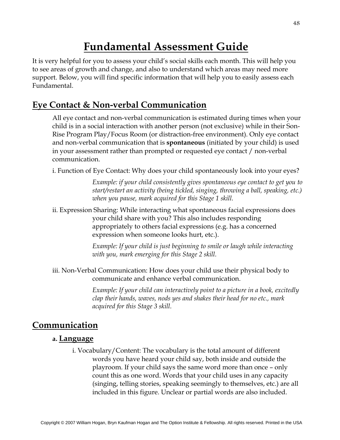### **Fundamental Assessment Guide**

It is very helpful for you to assess your child's social skills each month. This will help you to see areas of growth and change, and also to understand which areas may need more support. Below, you will find specific information that will help you to easily assess each Fundamental.

#### **Eye Contact & Non-verbal Communication**

All eye contact and non-verbal communication is estimated during times when your child is in a social interaction with another person (not exclusive) while in their Son-Rise Program Play/Focus Room (or distraction-free environment). Only eye contact and non-verbal communication that is **spontaneous** (initiated by your child) is used in your assessment rather than prompted or requested eye contact / non-verbal communication.

i. Function of Eye Contact: Why does your child spontaneously look into your eyes?

*Example: if your child consistently gives spontaneous eye contact to get you to start/restart an activity (being tickled, singing, throwing a ball, speaking, etc.) when you pause, mark acquired for this Stage 1 skill.*

ii. Expression Sharing: While interacting what spontaneous facial expressions does your child share with you? This also includes responding appropriately to others facial expressions (e.g. has a concerned expression when someone looks hurt, etc.).

> *Example: If your child is just beginning to smile or laugh while interacting with you, mark emerging for this Stage 2 skill.*

iii. Non-Verbal Communication: How does your child use their physical body to communicate and enhance verbal communication.

> *Example: If your child can interactively point to a picture in a book, excitedly clap their hands, waves, nods yes and shakes their head for no etc., mark acquired for this Stage 3 skill.*

#### **Communication**

#### **a. Language**

i. Vocabulary/Content: The vocabulary is the total amount of different words you have heard your child say, both inside and outside the playroom. If your child says the same word more than once – only count this as one word. Words that your child uses in any capacity (singing, telling stories, speaking seemingly to themselves, etc.) are all included in this figure. Unclear or partial words are also included.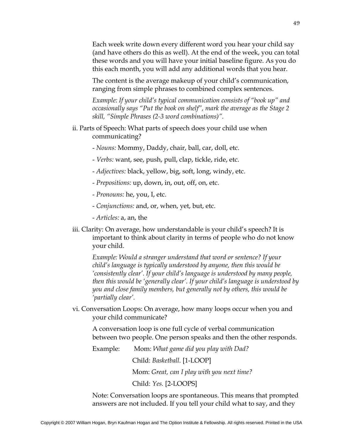Each week write down every different word you hear your child say (and have others do this as well). At the end of the week, you can total these words and you will have your initial baseline figure. As you do this each month, you will add any additional words that you hear.

The content is the average makeup of your child's communication, ranging from simple phrases to combined complex sentences.

*Example: If your child's typical communication consists of "book up" and occasionally says "Put the book on shelf", mark the average as the Stage 2 skill, "Simple Phrases (2-3 word combinations)".*

- ii. Parts of Speech: What parts of speech does your child use when communicating?
	- *Nouns:* Mommy, Daddy, chair, ball, car, doll, etc.
	- *Verbs:* want, see, push, pull, clap, tickle, ride, etc.
	- *Adjectives:* black, yellow, big, soft, long, windy, etc.
	- *Prepositions:* up, down, in, out, off, on, etc.
	- *Pronouns:* he, you, I, etc.
	- *Conjunctions:* and, or, when, yet, but, etc.
	- *Articles:* a, an, the
- iii. Clarity: On average, how understandable is your child's speech? It is important to think about clarity in terms of people who do not know your child.

*Example: Would a stranger understand that word or sentence? If your child's language is typically understood by anyone, then this would be 'consistently clear'. If your child's language is understood by many people, then this would be 'generally clear'. If your child's language is understood by you and close family members, but generally not by others, this would be 'partially clear'.*

vi. Conversation Loops: On average, how many loops occur when you and your child communicate?

A conversation loop is one full cycle of verbal communication between two people. One person speaks and then the other responds.

Example: Mom: *What game did you play with Dad?*

Child: *Basketball.* [1-LOOP]

Mom: *Great, can I play with you next time?*

Child: *Yes.* [2-LOOPS]

Note: Conversation loops are spontaneous. This means that prompted answers are not included. If you tell your child what to say, and they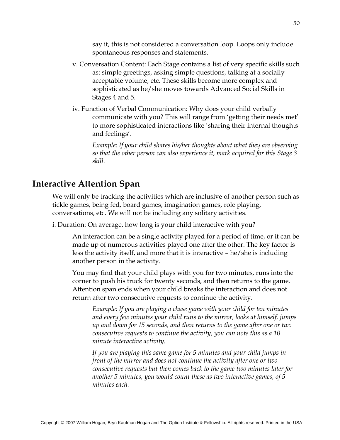say it, this is not considered a conversation loop. Loops only include spontaneous responses and statements.

- v. Conversation Content: Each Stage contains a list of very specific skills such as: simple greetings, asking simple questions, talking at a socially acceptable volume, etc. These skills become more complex and sophisticated as he/she moves towards Advanced Social Skills in Stages 4 and 5.
- iv. Function of Verbal Communication: Why does your child verbally communicate with you? This will range from 'getting their needs met' to more sophisticated interactions like 'sharing their internal thoughts and feelings'.

*Example: If your child shares his/her thoughts about what they are observing so that the other person can also experience it, mark acquired for this Stage 3 skill.*

#### **Interactive Attention Span**

We will only be tracking the activities which are inclusive of another person such as tickle games, being fed, board games, imagination games, role playing, conversations, etc. We will not be including any solitary activities.

i. Duration: On average, how long is your child interactive with you?

An interaction can be a single activity played for a period of time, or it can be made up of numerous activities played one after the other. The key factor is less the activity itself, and more that it is interactive – he/she is including another person in the activity.

You may find that your child plays with you for two minutes, runs into the corner to push his truck for twenty seconds, and then returns to the game. Attention span ends when your child breaks the interaction and does not return after two consecutive requests to continue the activity.

*Example: If you are playing a chase game with your child for ten minutes and every few minutes your child runs to the mirror, looks at himself, jumps up and down for 15 seconds, and then returns to the game after one or two consecutive requests to continue the activity, you can note this as a 10 minute interactive activity.* 

*If you are playing this same game for 5 minutes and your child jumps in front of the mirror and does not continue the activity after one or two consecutive requests but then comes back to the game two minutes later for another 5 minutes, you would count these as two interactive games, of 5 minutes each.*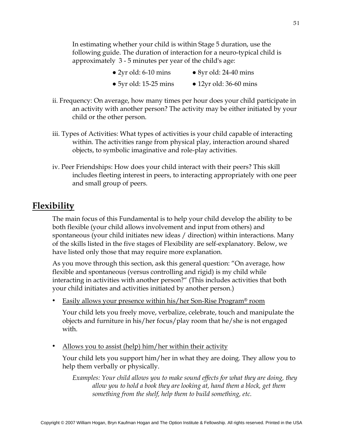In estimating whether your child is within Stage 5 duration, use the following guide. The duration of interaction for a neuro-typical child is approximately 3 - 5 minutes per year of the child's age:

- $\bullet$  2yr old: 6-10 mins  $\bullet$  8yr old: 24-40 mins
- 5yr old: 15-25 mins 12yr old: 36-60 mins
- ii. Frequency: On average, how many times per hour does your child participate in an activity with another person? The activity may be either initiated by your child or the other person.
- iii. Types of Activities: What types of activities is your child capable of interacting within. The activities range from physical play, interaction around shared objects, to symbolic imaginative and role-play activities.
- iv. Peer Friendships: How does your child interact with their peers? This skill includes fleeting interest in peers, to interacting appropriately with one peer and small group of peers.

#### **Flexibility**

The main focus of this Fundamental is to help your child develop the ability to be both flexible (your child allows involvement and input from others) and spontaneous (your child initiates new ideas / direction) within interactions. Many of the skills listed in the five stages of Flexibility are self-explanatory. Below, we have listed only those that may require more explanation.

As you move through this section, ask this general question: "On average, how flexible and spontaneous (versus controlling and rigid) is my child while interacting in activities with another person?" (This includes activities that both your child initiates and activities initiated by another person.)

• Easily allows your presence within his/her Son-Rise Program<sup>®</sup> room

Your child lets you freely move, verbalize, celebrate, touch and manipulate the objects and furniture in his/her focus/play room that he/she is not engaged with.

• Allows you to assist (help) him/her within their activity

Your child lets you support him/her in what they are doing. They allow you to help them verbally or physically.

*Examples: Your child allows you to make sound effects for what they are doing, they allow you to hold a book they are looking at, hand them a block, get them something from the shelf, help them to build something, etc.*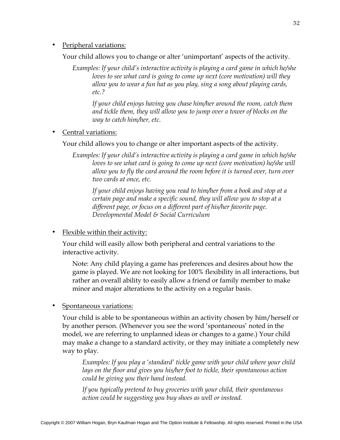Peripheral variations:

Your child allows you to change or alter 'unimportant' aspects of the activity.

*Examples: If your child's interactive activity is playing a card game in which he/she loves to see what card is going to come up next (core motivation) will they allow you to wear a fun hat as you play, sing a song about playing cards, etc.?*

*If your child enjoys having you chase him/her around the room, catch them and tickle them, they will allow you to jump over a tower of blocks on the way to catch him/her, etc.*

• Central variations:

Your child allows you to change or alter important aspects of the activity.

*Examples: If your child's interactive activity is playing a card game in which he/she loves to see what card is going to come up next (core motivation) he/she will allow you to fly the card around the room before it is turned over, turn over two cards at once, etc.*

*If your child enjoys having you read to him/her from a book and stop at a certain page and make a specific sound, they will allow you to stop at a different page, or focus on a different part of his/her favorite page. Developmental Model & Social Curriculum*

• Flexible within their activity:

Your child will easily allow both peripheral and central variations to the interactive activity.

Note: Any child playing a game has preferences and desires about how the game is played. We are not looking for 100% flexibility in all interactions, but rather an overall ability to easily allow a friend or family member to make minor and major alterations to the activity on a regular basis.

• Spontaneous variations:

Your child is able to be spontaneous within an activity chosen by him/herself or by another person. (Whenever you see the word 'spontaneous' noted in the model, we are referring to unplanned ideas or changes to a game.) Your child may make a change to a standard activity, or they may initiate a completely new way to play.

*Examples: If you play a 'standard' tickle game with your child where your child lays on the floor and gives you his/her foot to tickle, their spontaneous action could be giving you their hand instead.*

*If you typically pretend to buy groceries with your child, their spontaneous action could be suggesting you buy shoes as well or instead.*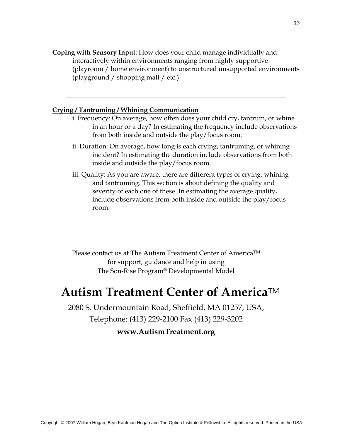**Coping with Sensory Input**: How does your child manage individually and interactively within environments ranging from highly supportive (playroom / home environment) to unstructured unsupported environments (playground / shopping mall / etc.)

#### **Crying / Tantruming / Whining Communication**

- i. Frequency: On average, how often does your child cry, tantrum, or whine in an hour or a day? In estimating the frequency include observations from both inside and outside the play/focus room.
- ii. Duration: On average, how long is each crying, tantruming, or whining incident? In estimating the duration include observations from both inside and outside the play/focus room.
- iii. Quality: As you are aware, there are different types of crying, whining and tantruming. This section is about defining the quality and severity of each one of these. In estimating the average quality, include observations from both inside and outside the play/focus room.

Please contact us at The Autism Treatment Center of America<sup>TM</sup> for support, guidance and help in using The Son-Rise Program® Developmental Model

### **Autism Treatment Center of America**TM

2080 S. Undermountain Road, Sheffield, MA 01257, USA, Telephone: (413) 229-2100 Fax (413) 229-3202

#### **www.AutismTreatment.org**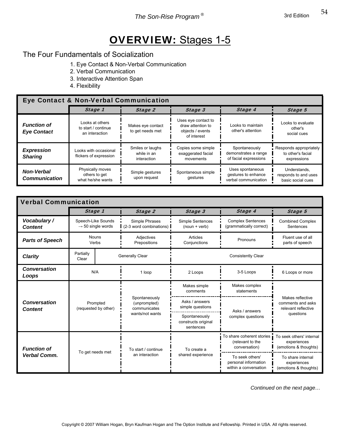### OVERVIEW: Stages 1-5

#### The Four Fundamentals of Socialization

- 1. Eye Contact & Non-Verbal Communication
- 2. Verbal Communication
- 3. Interactive Attention Span
- 4. Flexibility

#### Г Eye Contact & Non-Verbal Communication

|                                           | Stage 1                                                  | Stage 2                                        | Stage 3                                                                     | Stage 4                                                         | Stage 5                                                    |  |  |  |
|-------------------------------------------|----------------------------------------------------------|------------------------------------------------|-----------------------------------------------------------------------------|-----------------------------------------------------------------|------------------------------------------------------------|--|--|--|
| <b>Function of</b><br><b>Eye Contact</b>  | Looks at others<br>to start / continue<br>an interaction | Makes eye contact<br>to get needs met          | Uses eye contact to<br>draw attention to<br>objects / events<br>of interest | Looks to maintain<br>other's attention                          | Looks to evaluate<br>other's<br>social cues                |  |  |  |
| <b>Expression</b><br><b>Sharing</b>       | Looks with occasional<br>flickers of expression          | Smiles or laughs<br>while in an<br>interaction | Copies some simple<br>exaggerated facial<br>movements                       | Spontaneously<br>demonstrates a range<br>of facial expressions  | Responds appropriately<br>to other's facial<br>expressions |  |  |  |
| <b>Non-Verbal</b><br><b>Communication</b> | Physically moves<br>others to get<br>what he/she wants   | Simple gestures<br>upon request                | Spontaneous simple<br>gestures                                              | Uses spontaneous<br>gestures to enhance<br>verbal communication | Understands.<br>responds to and uses<br>basic social cues  |  |  |  |

| <b>Verbal Communication</b>           |                                                     |                       |                                               |                                                   |                                                                                                                                    |                                                              |  |  |
|---------------------------------------|-----------------------------------------------------|-----------------------|-----------------------------------------------|---------------------------------------------------|------------------------------------------------------------------------------------------------------------------------------------|--------------------------------------------------------------|--|--|
|                                       |                                                     | Stage 1               | Stage 2                                       | Stage 3                                           | Stage 4                                                                                                                            | Stage 5                                                      |  |  |
| Vocabulary /<br><b>Content</b>        | Speech-Like Sounds<br>$\rightarrow$ 50 single words |                       | Simple Phrases<br>(2-3 word combinations)     | Simple Sentences<br>$(noun + verb)$               | <b>Complex Sentences</b><br>(grammatically correct)                                                                                | <b>Combined Complex</b><br>Sentences                         |  |  |
| <b>Parts of Speech</b>                |                                                     | <b>Nouns</b><br>Verbs | Adjectives<br>Prepositions                    | Articles<br>Conjunctions                          | Pronouns                                                                                                                           | Fluent use of all<br>parts of speech                         |  |  |
| <b>Clarity</b>                        | Partially<br>Clear                                  |                       | Generally Clear                               |                                                   | <b>Consistently Clear</b>                                                                                                          |                                                              |  |  |
| <b>Conversation</b><br>Loops          |                                                     | N/A                   | 1 loop                                        | 2 Loops                                           | 3-5 Loops                                                                                                                          | 6 Loops or more                                              |  |  |
|                                       | Prompted<br>(requested by other)                    |                       |                                               | Makes simple<br>comments                          | Makes complex<br>statements                                                                                                        | Makes reflective<br>comments and asks<br>relevant reflective |  |  |
| <b>Conversation</b><br><b>Content</b> |                                                     |                       | Spontaneously<br>(unprompted)<br>communicates | Asks / answers<br>simple questions                | Asks / answers                                                                                                                     |                                                              |  |  |
|                                       |                                                     | wants/not wants       |                                               | Spontaneously<br>constructs original<br>sentences | complex questions                                                                                                                  | questions                                                    |  |  |
| <b>Function of</b>                    |                                                     |                       | To start / continue                           | To create a                                       | To share coherent stories<br>To seek others' internal<br>(relevant to the<br>experiences<br>conversation)<br>(emotions & thoughts) |                                                              |  |  |
| <b>Verbal Comm.</b>                   |                                                     | To get needs met      | an interaction                                | shared experience                                 | To seek others'<br>personal information<br>within a conversation                                                                   | To share internal<br>experiences<br>(emotions & thoughts)    |  |  |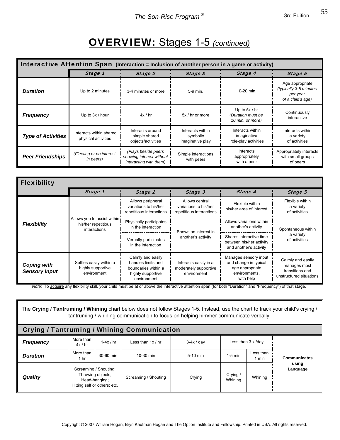### OVERVIEW: Stages 1-5 *(continued)*

| Interactive Attention Span (Interaction = Inclusion of another person in a game or activity) |                                                |                                                                           |                                                  |                                                          |                                                                            |  |  |
|----------------------------------------------------------------------------------------------|------------------------------------------------|---------------------------------------------------------------------------|--------------------------------------------------|----------------------------------------------------------|----------------------------------------------------------------------------|--|--|
|                                                                                              | Stage 1                                        | Stage 2                                                                   | Stage 3                                          | Stage 4                                                  | Stage 5                                                                    |  |  |
| <b>Duration</b>                                                                              | Up to 2 minutes                                | 3-4 minutes or more                                                       | 5-9 min.                                         | 10-20 min.                                               | Age appropriate<br>(typically 3-5 minutes<br>per year<br>of a child's age) |  |  |
| <b>Frequency</b>                                                                             | Up to 3x / hour                                | 4x / hr                                                                   | 5x / hr or more                                  | Up to $5x / hr$<br>(Duration must be<br>10 min. or more) | Continuously<br>interactive                                                |  |  |
| <b>Type of Activities</b>                                                                    | Interacts within shared<br>physical activities | Interacts around<br>simple shared<br>objects/activities                   | Interacts within<br>symbolic<br>imaginative play | Interacts within<br>imaginative<br>role-play activities  | Interacts within<br>a variety<br>of activities                             |  |  |
| <b>Peer Friendships</b>                                                                      | (Fleeting or no interest<br>in peers)          | (Plays beside peers<br>showing interest without<br>interacting with them) | Simple interactions<br>with peers                | <b>Interacts</b><br>appropriately<br>with a peer         | Appropriately interacts<br>with small groups<br>of peers                   |  |  |

| <b>Flexibility</b>                         |                                                                    |                                                                                                    |                                                                     |                                                                                                 |                                                                                 |  |
|--------------------------------------------|--------------------------------------------------------------------|----------------------------------------------------------------------------------------------------|---------------------------------------------------------------------|-------------------------------------------------------------------------------------------------|---------------------------------------------------------------------------------|--|
|                                            | Stage 1                                                            | Stage 2                                                                                            | Stage 3                                                             | Stage 4                                                                                         | Stage 5                                                                         |  |
|                                            |                                                                    | Allows peripheral<br>variations to his/her<br>repetitious interactions                             | Allows central<br>variations to his/her<br>repetitious interactions | Flexible within<br>his/her area of interest                                                     | Flexible within<br>a variety<br>of activities                                   |  |
| <b>Flexibility</b>                         | Allows you to assist within<br>his/her repetitious<br>interactions | Physically participates<br>in the interaction                                                      | Shows an interest in                                                | Allows variations within<br>another's activity                                                  | Spontaneous within                                                              |  |
|                                            |                                                                    | Verbally participates<br>in the interaction                                                        | another's activity                                                  | Shares interactive time<br>between his/her activity<br>and another's activity                   | a variety<br>of activities                                                      |  |
| <b>Coping with</b><br><b>Sensory Input</b> | Settles easily within a<br>highly supportive<br>environment        | Calmly and easily<br>handles limits and<br>boundaries within a<br>highly supportive<br>environment | Interacts easily in a<br>moderately supportive<br>environment       | Manages sensory input<br>and change in typical<br>age appropriate<br>environments,<br>with help | Calmly and easily<br>manages most<br>transitions and<br>unstructured situations |  |

*Note:* To acquire any flexibility skill, your child must be at or above the interactive attention span (for both "Duration" and "Frequency") of that stage.

| The Crying / Tantruming / Whining chart below does not follow Stages 1-5. Instead, use the chart to track your child's crying /<br>tantruming / whining communication to focus on helping him/her communicate verbally. |                      |                                                                                             |                      |            |                     |                           |                     |  |
|-------------------------------------------------------------------------------------------------------------------------------------------------------------------------------------------------------------------------|----------------------|---------------------------------------------------------------------------------------------|----------------------|------------|---------------------|---------------------------|---------------------|--|
| Crying / Tantruming / Whining Communication                                                                                                                                                                             |                      |                                                                                             |                      |            |                     |                           |                     |  |
| <b>Frequency</b>                                                                                                                                                                                                        | More than<br>4x / hr | $1-4x/hr$                                                                                   | Less than $1x / hr$  | $3-4x/day$ |                     | Less than $3 \times$ /day |                     |  |
| <b>Duration</b>                                                                                                                                                                                                         | More than<br>1 hr    | 30-60 min                                                                                   | 10-30 min            | 5-10 min   | $1-5$ min           | Less than<br>1 min        | <b>Communicates</b> |  |
| <b>Quality</b>                                                                                                                                                                                                          |                      | Screaming / Shouting;<br>Throwing objects;<br>Head-banging;<br>Hitting self or others; etc. | Screaming / Shouting | Crying     | Crying /<br>Whining | Whining                   | using<br>Language   |  |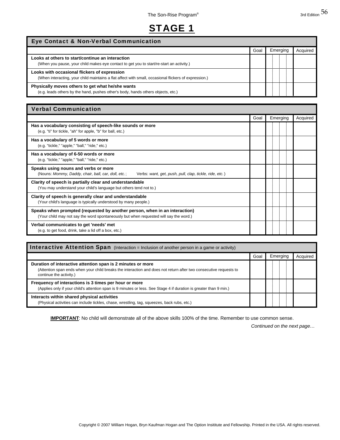### STAGE 1

#### Eye Contact & Non-Verbal Communication

|                                                                                                                                                       | Goal | Emerging | Acquired |
|-------------------------------------------------------------------------------------------------------------------------------------------------------|------|----------|----------|
| Looks at others to start/continue an interaction<br>(When you pause, your child makes eye contact to get you to start/re-start an activity.)          |      |          |          |
| Looks with occasional flickers of expression<br>(When interacting, your child maintains a flat affect with small, occasional flickers of expression.) |      |          |          |
| Physically moves others to get what he/she wants<br>(e.g. leads others by the hand, pushes other's body, hands others objects, etc.)                  |      |          |          |

#### Verbal Communication

|                                                                                                                                                                     | Goal | Emerging | Acquired |
|---------------------------------------------------------------------------------------------------------------------------------------------------------------------|------|----------|----------|
| Has a vocabulary consisting of speech-like sounds or more<br>(e.g. "ti" for tickle, "ah" for apple, "b" for ball, etc.)                                             |      |          |          |
| Has a vocabulary of 5 words or more<br>(e.g. "tickle," "apple," "ball," "ride," etc.)                                                                               |      |          |          |
| Has a vocabulary of 6-50 words or more<br>(e.g. "tickle," "apple," "ball," "ride," etc.)                                                                            |      |          |          |
| Speaks using nouns and verbs or more<br>(Nouns: Mommy, Daddy, chair, ball, car, doll, etc.;<br>Verbs: want, get, push, pull, clap, tickle, ride, etc.)              |      |          |          |
| Clarity of speech is partially clear and understandable<br>(You may understand your child's language but others tend not to.)                                       |      |          |          |
| Clarity of speech is generally clear and understandable<br>(Your child's language is typically understood by many people.)                                          |      |          |          |
| Speaks when prompted (requested by another person, when in an interaction)<br>(Your child may not say the word spontaneously but when requested will say the word.) |      |          |          |
| Verbal communicates to get 'needs' met<br>(e.g. to get food, drink, take a lid off a box, etc.)                                                                     |      |          |          |

| <b>Interactive Attention Span</b> (Interaction = Inclusion of another person in a game or activity)                                                                                                         |      |          |          |  |  |
|-------------------------------------------------------------------------------------------------------------------------------------------------------------------------------------------------------------|------|----------|----------|--|--|
|                                                                                                                                                                                                             | Goal | Emerging | Acquired |  |  |
| Duration of interactive attention span is 2 minutes or more<br>(Attention span ends when your child breaks the interaction and does not return after two consecutive requests to<br>continue the activity.) |      |          |          |  |  |
| Frequency of interactions is 3 times per hour or more<br>(Applies only if your child's attention span is 9 minutes or less. See Stage 4 if duration is greater than 9 min.)                                 |      |          |          |  |  |
| Interacts within shared physical activities<br>(Physical activities can include tickles, chase, wrestling, tag, squeezes, back rubs, etc.)                                                                  |      |          |          |  |  |

**IMPORTANT**: No child will demonstrate all of the above skills 100% of the time. Remember to use common sense.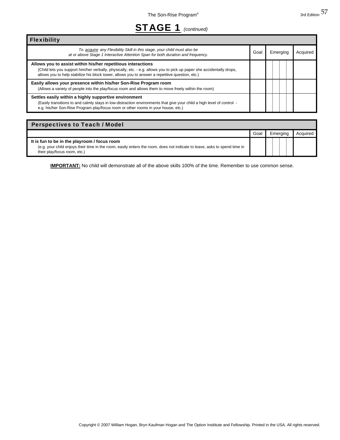### STAGE 1 *(continued)*

Flexibility

| SIAGE 1<br>(continued)                                                                                                                                     |      |          |          |
|------------------------------------------------------------------------------------------------------------------------------------------------------------|------|----------|----------|
|                                                                                                                                                            |      |          |          |
| To acquire any Flexibility Skill in this stage, your child must also be<br>at or above Stage 1 Interactive Attention Span for both duration and frequency. | Goal | Emerging | Acquired |

| Allows you to assist within his/her repetitious interactions<br>(Child lets you support him/her verbally, physically, etc. - e.g. allows you to pick up paper she accidentally drops,<br>allows you to help stabilize his block tower, allows you to answer a repetitive question, etc.) |  |  |
|------------------------------------------------------------------------------------------------------------------------------------------------------------------------------------------------------------------------------------------------------------------------------------------|--|--|
| Easily allows your presence within his/her Son-Rise Program room<br>(Allows a variety of people into the play/focus room and allows them to move freely within the room)                                                                                                                 |  |  |
| Settles easily within a highly supportive environment<br>(Easily transitions to and calmly stays in low-distraction environments that give your child a high level of control -<br>e.g. his/her Son-Rise Program play/focus room or other rooms in your house, etc.)                     |  |  |

#### Goal Emerging Acquired **It is fun to be in the playroom / focus room** (e.g. your child enjoys their time in the room, easily enters the room, does not indicate to leave, asks to spend time in their play/focus room, etc.) Perspectives to Teach / Model

**IMPORTANT:** No child will demonstrate all of the above skills 100% of the time. Remember to use common sense.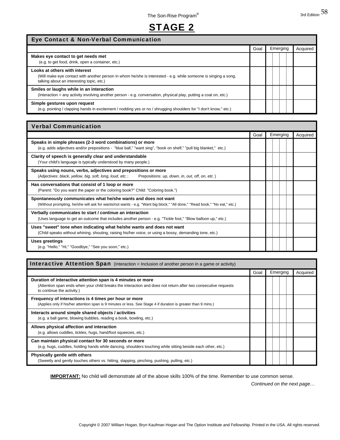### STAGE 2

Goal Emerging Acquired

| <b>Eye Contact &amp; Non-Verbal Communication</b> |  |
|---------------------------------------------------|--|
|                                                   |  |
|                                                   |  |
|                                                   |  |

| Makes eye contact to get needs met<br>(e.g. to get food, drink, open a container, etc.)                                                                                                       |  |  |
|-----------------------------------------------------------------------------------------------------------------------------------------------------------------------------------------------|--|--|
| Looks at others with interest<br>(Will make eye contact with another person in whom he/she is interested - e.g. while someone is singing a song,<br>talking about an interesting topic, etc.) |  |  |
| Smiles or laughs while in an interaction<br>(Interaction = any activity involving another person - e.g. conversation, physical play, putting a coat on, etc.)                                 |  |  |
| Simple gestures upon request<br>(e.g. pointing / clapping hands in excitement / nodding yes or no / shrugging shoulders for "I don't know," etc.)                                             |  |  |

| <b>Verbal Communication</b>                                                                                                                                                                 |      |          |          |
|---------------------------------------------------------------------------------------------------------------------------------------------------------------------------------------------|------|----------|----------|
|                                                                                                                                                                                             | Goal | Emerging | Acquired |
| Speaks in simple phrases (2-3 word combinations) or more<br>(e.g. adds adjectives and/or prepositions - "blue ball," "want sing", "book on shelf," "pull big blanket," etc.)                |      |          |          |
| Clarity of speech is generally clear and understandable<br>(Your child's language is typically understood by many people.)                                                                  |      |          |          |
| Speaks using nouns, verbs, adjectives and prepositions or more<br>(Adjectives: black, yellow, big, soft, long, loud, etc.;<br>Prepositions: up, down, in, out, off, on, etc.)               |      |          |          |
| Has conversations that consist of 1 loop or more<br>(Parent: "Do you want the paper or the coloring book?" Child: "Coloring book.")                                                         |      |          |          |
| Spontaneously communicates what he/she wants and does not want<br>(Without prompting, he/she will ask for wants/not wants - e.g. "Want big block," "All done," "Read book," "No eat," etc.) |      |          |          |
| Verbally communicates to start / continue an interaction<br>(Uses language to get an outcome that includes another person - e.g. "Tickle foot," "Blow balloon up," etc.)                    |      |          |          |
| Uses "sweet" tone when indicating what he/she wants and does not want<br>(Child speaks without whining, shouting, raising his/her voice, or using a bossy, demanding tone, etc.)            |      |          |          |
| Uses greetings<br>(e.g. "Hello," "Hi," "Goodbye," "See you soon," etc.)                                                                                                                     |      |          |          |

| <b>Interactive Attention Span</b> (Interaction = Inclusion of another person in a game or activity)                                                                                                         |      |          |          |  |
|-------------------------------------------------------------------------------------------------------------------------------------------------------------------------------------------------------------|------|----------|----------|--|
|                                                                                                                                                                                                             | Goal | Emerging | Acquired |  |
| Duration of interactive attention span is 4 minutes or more<br>(Attention span ends when your child breaks the interaction and does not return after two consecutive requests<br>to continue the activity.) |      |          |          |  |
| Frequency of interactions is 4 times per hour or more<br>(Applies only if his/her attention span is 9 minutes or less. See Stage 4 if duration is greater than 9 mins.)                                     |      |          |          |  |
| Interacts around simple shared objects / activities<br>(e.g. a ball game, blowing bubbles, reading a book, bowling, etc.)                                                                                   |      |          |          |  |
| Allows physical affection and interaction<br>(e.g. allows cuddles, tickles, hugs, hand/foot squeezes, etc.)                                                                                                 |      |          |          |  |
| Can maintain physical contact for 30 seconds or more<br>(e.g. hugs, cuddles, holding hands while dancing, shoulders touching while sitting beside each other, etc.)                                         |      |          |          |  |
| Physically gentle with others<br>(Sweetly and gently touches others vs. hitting, slapping, pinching, pushing, pulling, etc.)                                                                                |      |          |          |  |

**IMPORTANT:** No child will demonstrate all of the above skills 100% of the time. Remember to use common sense.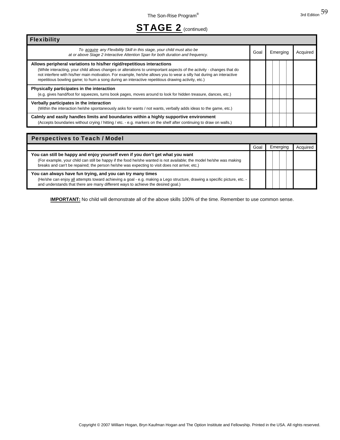### STAGE 2 (continued)

| <b>Flexibility</b>                                                                                                                                                                                                                                                                                                                                                                                                           |      |          |          |
|------------------------------------------------------------------------------------------------------------------------------------------------------------------------------------------------------------------------------------------------------------------------------------------------------------------------------------------------------------------------------------------------------------------------------|------|----------|----------|
| To acquire any Flexibility Skill in this stage, your child must also be<br>at or above Stage 2 Interactive Attention Span for both duration and frequency.                                                                                                                                                                                                                                                                   | Goal | Emerging | Acquired |
| Allows peripheral variations to his/her rigid/repetitious interactions<br>(While interacting, your child allows changes or alterations to unimportant aspects of the activity - changes that do<br>not interfere with his/her main motivation. For example, he/she allows you to wear a silly hat during an interactive<br>repetitious bowling game; to hum a song during an interactive repetitious drawing activity, etc.) |      |          |          |
| Physically participates in the interaction<br>(e.g. gives hand/foot for squeezes, turns book pages, moves around to look for hidden treasure, dances, etc.)                                                                                                                                                                                                                                                                  |      |          |          |
| Verbally participates in the interaction<br>(Within the interaction he/she spontaneously asks for wants / not wants, verbally adds ideas to the game, etc.)                                                                                                                                                                                                                                                                  |      |          |          |
| Calmly and easily handles limits and boundaries within a highly supportive environment<br>(Accepts boundaries without crying / hitting / etc. - e.g. markers on the shelf after continuing to draw on walls.)                                                                                                                                                                                                                |      |          |          |

| <b>Perspectives to Teach / Model</b>                                                                                                                                                                                                                                                                  |      |          |          |
|-------------------------------------------------------------------------------------------------------------------------------------------------------------------------------------------------------------------------------------------------------------------------------------------------------|------|----------|----------|
|                                                                                                                                                                                                                                                                                                       | Goal | Emerging | Acquireo |
| You can still be happy and enjoy yourself even if you don't get what you want<br>(For example, your child can still be happy if the food he/she wanted is not available; the model he/she was making<br>breaks and can't be repaired; the person he/she was expecting to visit does not arrive; etc.) |      |          |          |
| You can always have fun trying, and you can try many times<br>(He/she can enjoy all attempts toward achieving a goal - e.g. making a Lego structure, drawing a specific picture, etc. -<br>and understands that there are many different ways to achieve the desired goal.)                           |      |          |          |

**IMPORTANT:** No child will demonstrate all of the above skills 100% of the time. Remember to use common sense.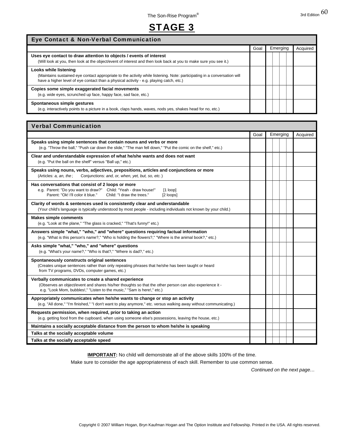### STAGE 3

#### Eye Contact & Non-Verbal Communication

|                                                                                                                                                                                                                                              | Goal | Emerging | Acquired |
|----------------------------------------------------------------------------------------------------------------------------------------------------------------------------------------------------------------------------------------------|------|----------|----------|
| Uses eye contact to draw attention to objects / events of interest<br>(Will look at you, then look at the object/event of interest and then look back at you to make sure you see it.)                                                       |      |          |          |
| Looks while listening<br>(Maintains sustained eye contact appropriate to the activity while listening. Note: participating in a conversation will<br>have a higher level of eye contact than a physical activity - e.g. playing catch, etc.) |      |          |          |
| Copies some simple exaggerated facial movements<br>(e.g. wide eyes, scrunched up face, happy face, sad face, etc.)                                                                                                                           |      |          |          |
| Spontaneous simple gestures<br>(e.g. interactively points to a picture in a book, claps hands, waves, nods yes, shakes head for no, etc.)                                                                                                    |      |          |          |

| <b>Verbal Communication</b>                                                                                                                                                                                                               |      |          |          |
|-------------------------------------------------------------------------------------------------------------------------------------------------------------------------------------------------------------------------------------------|------|----------|----------|
|                                                                                                                                                                                                                                           | Goal | Emerging | Acquired |
| Speaks using simple sentences that contain nouns and verbs or more<br>(e.g. "Throw the ball," "Push car down the slide," "The man fell down," "Put the comic on the shelf," etc.)                                                         |      |          |          |
| Clear and understandable expression of what he/she wants and does not want<br>(e.g. "Put the ball on the shelf" versus "Ball up," etc.)                                                                                                   |      |          |          |
| Speaks using nouns, verbs, adjectives, prepositions, articles and conjunctions or more<br>(Articles: a, an, the;<br>Conjunctions: and, or, when, yet, but, so, etc.)                                                                      |      |          |          |
| Has conversations that consist of 2 loops or more<br>e.g. Parent: "Do you want to draw?" Child: "Yeah - draw house!"<br>$[1$ loop]<br>Parent: "Ok! I'll color it blue."<br>Child: "I draw the trees."<br>[2 loops]                        |      |          |          |
| Clarity of words & sentences used is consistently clear and understandable<br>(Your child's language is typically understood by most people - including individuals not known by your child.)                                             |      |          |          |
| <b>Makes simple comments</b><br>(e.g. "Look at the plane," "The glass is cracked," "That's funny!" etc.)                                                                                                                                  |      |          |          |
| Answers simple "what," "who," and "where" questions requiring factual information<br>(e.g. "What is this person's name?," "Who is holding the flowers?," "Where is the animal book?," etc.)                                               |      |          |          |
| Asks simple "what," "who," and "where" questions<br>(e.g. "What's your name?," "Who is that?," "Where is dad?," etc.)                                                                                                                     |      |          |          |
| Spontaneously constructs original sentences<br>(Creates unique sentences rather than only repeating phrases that he/she has been taught or heard<br>from TV programs, DVDs, computer games, etc.)                                         |      |          |          |
| Verbally communicates to create a shared experience<br>(Observes an object/event and shares his/her thoughts so that the other person can also experience it -<br>e.g. "Look Mom, bubbles!," "Listen to the music," "Sam is here!," etc.) |      |          |          |
| Appropriately communicates when he/she wants to change or stop an activity<br>(e.g. "All done," "I'm finished," "I don't want to play anymore," etc. versus walking away without communicating.)                                          |      |          |          |
| Requests permission, when required, prior to taking an action<br>(e.g. getting food from the cupboard, when using someone else's possessions, leaving the house, etc.)                                                                    |      |          |          |
| Maintains a socially acceptable distance from the person to whom he/she is speaking                                                                                                                                                       |      |          |          |
| Talks at the socially acceptable volume                                                                                                                                                                                                   |      |          |          |
| Talks at the socially acceptable speed                                                                                                                                                                                                    |      |          |          |

**IMPORTANT:** No child will demonstrate all of the above skills 100% of the time.

Make sure to consider the age appropriateness of each skill. Remember to use common sense.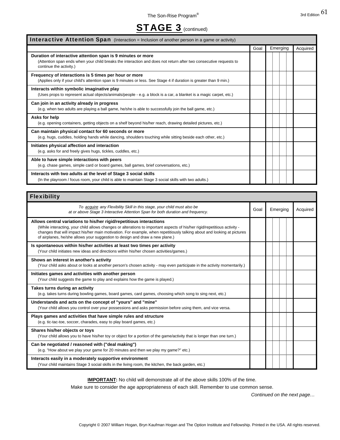### **STAGE 3** (continued)

| Interactive Attention Span (Interaction = Inclusion of another person in a game or activity)                                                                                                                |      |  |          |          |
|-------------------------------------------------------------------------------------------------------------------------------------------------------------------------------------------------------------|------|--|----------|----------|
|                                                                                                                                                                                                             | Goal |  | Emerging | Acquired |
| Duration of interactive attention span is 9 minutes or more<br>(Attention span ends when your child breaks the interaction and does not return after two consecutive requests to<br>continue the activity.) |      |  |          |          |
| Frequency of interactions is 5 times per hour or more<br>(Applies only if your child's attention span is 9 minutes or less. See Stage 4 if duration is greater than 9 min.)                                 |      |  |          |          |
| Interacts within symbolic imaginative play<br>(Uses props to represent actual objects/animals/people - e.g. a block is a car, a blanket is a magic carpet, etc.)                                            |      |  |          |          |
| Can join in an activity already in progress<br>(e.g. when two adults are playing a ball game, he/she is able to successfully join the ball game, etc.)                                                      |      |  |          |          |
| Asks for help<br>(e.g. opening containers, getting objects on a shelf beyond his/her reach, drawing detailed pictures, etc.)                                                                                |      |  |          |          |
| Can maintain physical contact for 60 seconds or more<br>(e.g. hugs, cuddles, holding hands while dancing, shoulders touching while sitting beside each other, etc.)                                         |      |  |          |          |
| Initiates physical affection and interaction<br>(e.g. asks for and freely gives hugs, tickles, cuddles, etc.)                                                                                               |      |  |          |          |
| Able to have simple interactions with peers<br>(e.g. chase games, simple card or board games, ball games, brief conversations, etc.)                                                                        |      |  |          |          |
| Interacts with two adults at the level of Stage 3 social skills<br>(In the playroom / focus room, your child is able to maintain Stage 3 social skills with two adults.)                                    |      |  |          |          |
|                                                                                                                                                                                                             |      |  |          |          |

| <b>Flexibility</b>                                                                                                                                                                                                                                                                                                                                                                                          |      |          |          |
|-------------------------------------------------------------------------------------------------------------------------------------------------------------------------------------------------------------------------------------------------------------------------------------------------------------------------------------------------------------------------------------------------------------|------|----------|----------|
| To acquire any Flexibility Skill in this stage, your child must also be<br>at or above Stage 3 Interactive Attention Span for both duration and frequency.                                                                                                                                                                                                                                                  | Goal | Emerging | Acquired |
| Allows central variations to his/her rigid/repetitious interactions<br>(While interacting, your child allows changes or alterations to important aspects of his/her rigid/repetitious activity -<br>changes that will impact his/her main motivation. For example, when repetitiously talking about and looking at pictures<br>of airplanes, he/she allows your suggestion to design and draw a new plane.) |      |          |          |
| Is spontaneous within his/her activities at least two times per activity<br>(Your child initiates new ideas and directions within his/her chosen activities/games.)                                                                                                                                                                                                                                         |      |          |          |
| Shows an interest in another's activity<br>(Your child asks about or looks at another person's chosen activity - may even participate in the activity momentarily.)                                                                                                                                                                                                                                         |      |          |          |
| Initiates games and activities with another person<br>(Your child suggests the game to play and explains how the game is played.)                                                                                                                                                                                                                                                                           |      |          |          |
| Takes turns during an activity<br>(e.g. takes turns during bowling games, board games, card games, choosing which song to sing next, etc.)                                                                                                                                                                                                                                                                  |      |          |          |
| Understands and acts on the concept of "yours" and "mine"<br>(Your child allows you control over your possessions and asks permission before using them, and vice versa.                                                                                                                                                                                                                                    |      |          |          |
| Plays games and activities that have simple rules and structure<br>(e.g. tic-tac-toe, soccer, charades, easy to play board games, etc.)                                                                                                                                                                                                                                                                     |      |          |          |
| Shares his/her objects or toys<br>(Your child allows you to have his/her toy or object for a portion of the game/activity that is longer than one turn.)                                                                                                                                                                                                                                                    |      |          |          |
| Can be negotiated / reasoned with ("deal making")<br>(e.g. "How about we play your game for 20 minutes and then we play my game?" etc.)                                                                                                                                                                                                                                                                     |      |          |          |
| Interacts easily in a moderately supportive environment<br>(Your child maintains Stage 3 social skills in the living room, the kitchen, the back garden, etc.)                                                                                                                                                                                                                                              |      |          |          |

**IMPORTANT:** No child will demonstrate all of the above skills 100% of the time.

Make sure to consider the age appropriateness of each skill. Remember to use common sense.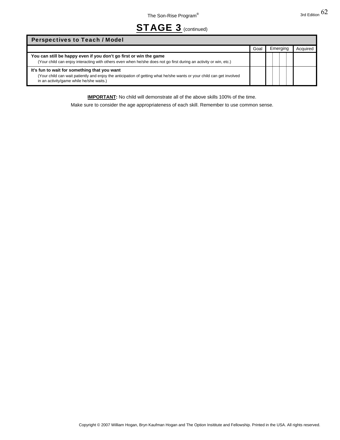### STAGE 3 (continued)

| <b>Perspectives to Teach / Model</b>                                                                                                                                                                              |      |          |          |
|-------------------------------------------------------------------------------------------------------------------------------------------------------------------------------------------------------------------|------|----------|----------|
|                                                                                                                                                                                                                   | Goal | Emerging | Acquired |
| You can still be happy even if you don't go first or win the game<br>(Your child can enjoy interacting with others even when he/she does not go first during an activity or win, etc.)                            |      |          |          |
| It's fun to wait for something that you want<br>(Your child can wait patiently and enjoy the anticipation of getting what he/she wants or your child can get involved<br>in an activity/game while he/she waits.) |      |          |          |

**IMPORTANT:** No child will demonstrate all of the above skills 100% of the time.

Make sure to consider the age appropriateness of each skill. Remember to use common sense.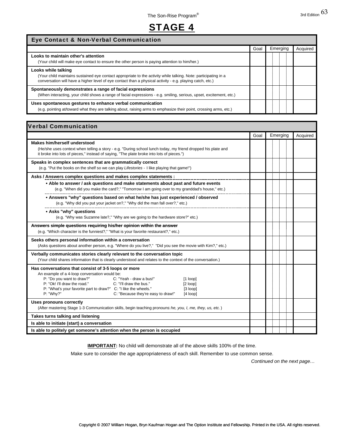### STAGE 4

| Eye Contact & Non-Verbal Communication                                                                                                                                                                                                              |      |          |          |  |
|-----------------------------------------------------------------------------------------------------------------------------------------------------------------------------------------------------------------------------------------------------|------|----------|----------|--|
|                                                                                                                                                                                                                                                     | Goal | Emerging | Acquired |  |
| Looks to maintain other's attention<br>(Your child will make eye contact to ensure the other person is paying attention to him/her.)                                                                                                                |      |          |          |  |
| Looks while talking<br>(Your child maintains sustained eye contact appropriate to the activity while talking. Note: participating in a<br>conversation will have a higher level of eye contact than a physical activity - e.g. playing catch, etc.) |      |          |          |  |
| Spontaneously demonstrates a range of facial expressions<br>(When interacting, your child shows a range of facial expressions - e.g. smiling, serious, upset, excitement, etc.)                                                                     |      |          |          |  |
| Uses spontaneous gestures to enhance verbal communication<br>(e.g. pointing at/toward what they are talking about, raising arms to emphasize their point, crossing arms, etc.)                                                                      |      |          |          |  |

| <b>Verbal Communication</b>                                                                                                                                                                                                                                                                                                                                                                              |      |          |          |
|----------------------------------------------------------------------------------------------------------------------------------------------------------------------------------------------------------------------------------------------------------------------------------------------------------------------------------------------------------------------------------------------------------|------|----------|----------|
|                                                                                                                                                                                                                                                                                                                                                                                                          | Goal | Emerging | Acquired |
| <b>Makes him/herself understood</b><br>(He/she uses context when telling a story - e.g. "During school lunch today, my friend dropped his plate and<br>it broke into lots of pieces," instead of saying, "The plate broke into lots of pieces.")                                                                                                                                                         |      |          |          |
| Speaks in complex sentences that are grammatically correct<br>(e.g. "Put the books on the shelf so we can play Lifestories - I like playing that game!")                                                                                                                                                                                                                                                 |      |          |          |
| Asks / Answers complex questions and makes complex statements :                                                                                                                                                                                                                                                                                                                                          |      |          |          |
| • Able to answer / ask questions and make statements about past and future events<br>(e.g. "When did you make the card?," "Tomorrow I am going over to my granddad's house," etc.)                                                                                                                                                                                                                       |      |          |          |
| . Answers "why" questions based on what he/she has just experienced / observed<br>(e.g. "Why did you put your jacket on?," "Why did the man fall over?," etc.)                                                                                                                                                                                                                                           |      |          |          |
| • Asks "why" questions<br>(e.g. "Why was Suzanne late?," "Why are we going to the hardware store?" etc.)                                                                                                                                                                                                                                                                                                 |      |          |          |
| Answers simple questions requiring his/her opinion within the answer<br>(e.g. "Which character is the funniest?," "What is your favorite restaurant?," etc.)                                                                                                                                                                                                                                             |      |          |          |
| Seeks others personal information within a conversation<br>(Asks questions about another person, e.g. "Where do you live?," "Did you see the movie with Kim?," etc.)                                                                                                                                                                                                                                     |      |          |          |
| Verbally communicates stories clearly relevant to the conversation topic<br>(Your child shares information that is clearly understood and relates to the context of the conversation.)                                                                                                                                                                                                                   |      |          |          |
| Has conversations that consist of 3-5 loops or more<br>An example of a 4-loop conversation would be:<br>P: "Do you want to draw?"<br>C: "Yeah - draw a bus!"<br>$[1$ loop]<br>P: "Ok! I'll draw the road."<br>C: "I'll draw the bus."<br>$[2 \text{loop}]$<br>P: "What's your favorite part to draw?" C: "I like the wheels."<br>[3 loop]<br>P: "Why?"<br>C: "Because they're easy to draw!"<br>[4 loop] |      |          |          |
| <b>Uses pronouns correctly</b><br>(After mastering Stage 1-3 Communication skills, begin teaching pronouns: he, you, I, me, they, us, etc.)                                                                                                                                                                                                                                                              |      |          |          |
| Takes turns talking and listening                                                                                                                                                                                                                                                                                                                                                                        |      |          |          |
| Is able to initiate (start) a conversation                                                                                                                                                                                                                                                                                                                                                               |      |          |          |
| Is able to politely get someone's attention when the person is occupied                                                                                                                                                                                                                                                                                                                                  |      |          |          |

**IMPORTANT:** No child will demonstrate all of the above skills 100% of the time.

Make sure to consider the age appropriateness of each skill. Remember to use common sense.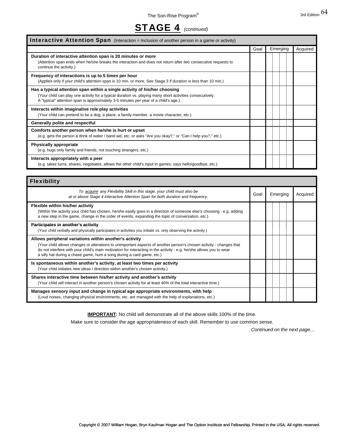### STAGE 4 *(continued)*

| <b>Interactive Attention Span</b> (Interaction = Inclusion of another person in a game or activity)                                                                                                                                                                           |      |          |          |  |
|-------------------------------------------------------------------------------------------------------------------------------------------------------------------------------------------------------------------------------------------------------------------------------|------|----------|----------|--|
|                                                                                                                                                                                                                                                                               | Goal | Emerging | Acquired |  |
| Duration of interactive attention span is 20 minutes or more<br>(Attention span ends when he/she breaks the interaction and does not return after two consecutive requests to<br>continue the activity.)                                                                      |      |          |          |  |
| Frequency of interactions is up to 5 times per hour<br>(Applies only if your child's attention span is 10 min. or more. See Stage 3 if duration is less than 10 min.)                                                                                                         |      |          |          |  |
| Has a typical attention span within a single activity of his/her choosing<br>(Your child can play one activity for a typical duration vs. playing many short activities consecutively.<br>A "typical" attention span is approximately 3-5 minutes per year of a child's age.) |      |          |          |  |
| Interacts within imaginative role play activities<br>(Your child can pretend to be a dog, a plane, a family member, a movie character, etc.)                                                                                                                                  |      |          |          |  |
| Generally polite and respectful                                                                                                                                                                                                                                               |      |          |          |  |
| Comforts another person when he/she is hurt or upset<br>(e.g. gets the person a drink of water / band aid, etc. or asks "Are you okay?," or "Can I help you?," etc.)                                                                                                          |      |          |          |  |
| <b>Physically appropriate</b><br>(e.g. hugs only family and friends, not touching strangers, etc.)                                                                                                                                                                            |      |          |          |  |
| Interacts appropriately with a peer<br>(e.g. takes turns, shares, negotiates, allows the other child's input in games, says hello/goodbye, etc.)                                                                                                                              |      |          |          |  |

| <b>Flexibility</b>                                                                                                                                                                                                                                                                                                                                                            |      |          |          |
|-------------------------------------------------------------------------------------------------------------------------------------------------------------------------------------------------------------------------------------------------------------------------------------------------------------------------------------------------------------------------------|------|----------|----------|
| To acquire any Flexibility Skill in this stage, your child must also be<br>at or above Stage 4 Interactive Attention Span for both duration and frequency.                                                                                                                                                                                                                    | Goal | Emerging | Acquired |
| Flexible within his/her activity<br>(Within the activity your child has chosen, he/she easily goes in a direction of someone else's choosing - e.g. adding<br>a new step in the game, change in the order of events, expanding the topic of conversation, etc.)                                                                                                               |      |          |          |
| Participates in another's activity<br>(Your child verbally and physically participates in activities you initiate vs. only observing the activity.)                                                                                                                                                                                                                           |      |          |          |
| Allows peripheral variations within another's activity<br>(Your child allows changes or alterations to unimportant aspects of another person's chosen activity - changes that<br>do not interfere with your child's main motivation for interacting in the activity - e.g. he/she allows you to wear<br>a silly hat during a chase game, hum a song during a card game, etc.) |      |          |          |
| Is spontaneous within another's activity, at least two times per activity<br>(Your child initiates new ideas / direction within another's chosen activity.)                                                                                                                                                                                                                   |      |          |          |
| Shares interactive time between his/her activity and another's activity<br>(Your child will interact in another person's chosen activity for at least 40% of the total interactive time.)                                                                                                                                                                                     |      |          |          |
| Manages sensory input and change in typical age appropriate environments, with help<br>(Loud noises, changing physical environments, etc. are managed with the help of explanations, etc.)                                                                                                                                                                                    |      |          |          |

**IMPORTANT:** No child will demonstrate all of the above skills 100% of the time.

Make sure to consider the age appropriateness of each skill. Remember to use common sense.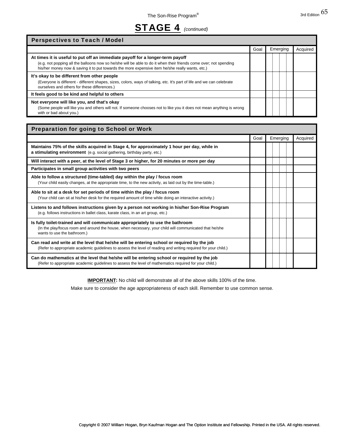### STAGE 4 *(continued)*

| <b>Perspectives to Teach / Model</b>                                                                                                                                                                                                                                                                  |      |          |          |
|-------------------------------------------------------------------------------------------------------------------------------------------------------------------------------------------------------------------------------------------------------------------------------------------------------|------|----------|----------|
|                                                                                                                                                                                                                                                                                                       | Goal | Emerging | Acquired |
| At times it is useful to put off an immediate payoff for a longer-term payoff<br>(e.g. not popping all the balloons now so he/she will be able to do it when their friends come over; not spending<br>his/her money now & saving it to put towards the more expensive item he/she really wants, etc.) |      |          |          |
| It's okay to be different from other people<br>(Everyone is different - different shapes, sizes, colors, ways of talking, etc. It's part of life and we can celebrate<br>ourselves and others for these differences.)                                                                                 |      |          |          |
| It feels good to be kind and helpful to others                                                                                                                                                                                                                                                        |      |          |          |
| Not everyone will like you, and that's okay<br>(Some people will like you and others will not. If someone chooses not to like you it does not mean anything is wrong<br>with or bad about you.)                                                                                                       |      |          |          |

| Preparation for going to School or Work                                                                                                                                                                                 |      |  |          |  |          |
|-------------------------------------------------------------------------------------------------------------------------------------------------------------------------------------------------------------------------|------|--|----------|--|----------|
|                                                                                                                                                                                                                         | Goal |  | Emerging |  | Acquired |
| Maintains 75% of the skills acquired in Stage 4, for approximately 1 hour per day, while in<br>a stimulating environment (e.g. social gathering, birthday party, etc.)                                                  |      |  |          |  |          |
| Will interact with a peer, at the level of Stage 3 or higher, for 20 minutes or more per day                                                                                                                            |      |  |          |  |          |
| Participates in small group activities with two peers                                                                                                                                                                   |      |  |          |  |          |
| Able to follow a structured (time-tabled) day within the play / focus room<br>(Your child easily changes, at the appropriate time, to the new activity, as laid out by the time-table.)                                 |      |  |          |  |          |
| Able to sit at a desk for set periods of time within the play / focus room<br>(Your child can sit at his/her desk for the required amount of time while doing an interactive activity.)                                 |      |  |          |  |          |
| Listens to and follows instructions given by a person not working in his/her Son-Rise Program<br>(e.g. follows instructions in ballet class, karate class, in an art group, etc.)                                       |      |  |          |  |          |
| Is fully toilet-trained and will communicate appropriately to use the bathroom<br>(In the play/focus room and around the house, when necessary, your child will communicated that he/she<br>wants to use the bathroom.) |      |  |          |  |          |
| Can read and write at the level that he/she will be entering school or required by the job<br>(Refer to appropriate academic quidelines to assess the level of reading and writing required for your child.)            |      |  |          |  |          |
| Can do mathematics at the level that he/she will be entering school or required by the job<br>(Refer to appropriate academic guidelines to assess the level of mathematics required for your child.)                    |      |  |          |  |          |

**IMPORTANT:** No child will demonstrate all of the above skills 100% of the time.

Make sure to consider the age appropriateness of each skill. Remember to use common sense.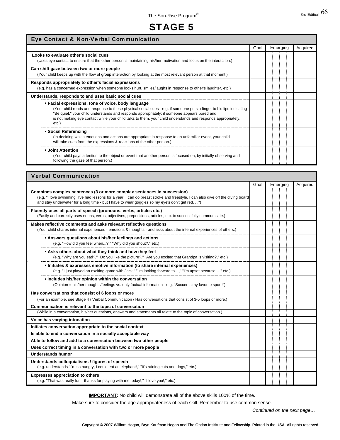### STAGE 5

| Eye Contact & Non-Verbal Communication                                                                                                                                                                                                                                                                                                                                                           |      |          |          |  |
|--------------------------------------------------------------------------------------------------------------------------------------------------------------------------------------------------------------------------------------------------------------------------------------------------------------------------------------------------------------------------------------------------|------|----------|----------|--|
|                                                                                                                                                                                                                                                                                                                                                                                                  | Goal | Emerging | Acquired |  |
| Looks to evaluate other's social cues<br>(Uses eye contact to ensure that the other person is maintaining his/her motivation and focus on the interaction.)                                                                                                                                                                                                                                      |      |          |          |  |
| Can shift gaze between two or more people<br>(Your child keeps up with the flow of group interaction by looking at the most relevant person at that moment.)                                                                                                                                                                                                                                     |      |          |          |  |
| Responds appropriately to other's facial expressions<br>(e.g. has a concerned expression when someone looks hurt, smiles/laughs in response to other's laughter, etc.)                                                                                                                                                                                                                           |      |          |          |  |
| Understands, responds to and uses basic social cues                                                                                                                                                                                                                                                                                                                                              |      |          |          |  |
| • Facial expressions, tone of voice, body language<br>(Your child reads and response to these physical social cues - e.g. if someone puts a finger to his lips indicating<br>"Be quiet," your child understands and responds appropriately; if someone appears bored and<br>is not making eye contact while your child talks to them, your child understands and responds appropriately,<br>etc. |      |          |          |  |
| • Social Referencing<br>(In deciding which emotions and actions are appropriate in response to an unfamiliar event, your child<br>will take cues from the expressions & reactions of the other person.)                                                                                                                                                                                          |      |          |          |  |
| • Joint Attention<br>(Your child pays attention to the object or event that another person is focused on, by initially observing and<br>following the gaze of that person.)                                                                                                                                                                                                                      |      |          |          |  |

| <b>Verbal Communication</b>                                                                                                                                                                                                                                                                                |      |          |          |  |
|------------------------------------------------------------------------------------------------------------------------------------------------------------------------------------------------------------------------------------------------------------------------------------------------------------|------|----------|----------|--|
|                                                                                                                                                                                                                                                                                                            | Goal | Emerging | Acquired |  |
| Combines complex sentences (3 or more complex sentences in succession)<br>(e.g. "I love swimming; I've had lessons for a year. I can do breast stroke and freestyle. I can also dive off the diving board<br>and stay underwater for a long time - but I have to wear goggles so my eye's don't get red.") |      |          |          |  |
| Fluently uses all parts of speech (pronouns, verbs, articles etc.)<br>(Easily and correctly uses nouns, verbs, adjectives, prepositions, articles, etc. to successfully communicate.)                                                                                                                      |      |          |          |  |
| Makes reflective comments and asks relevant reflective questions<br>(Your child shares internal experiences - emotions & thoughts - and asks about the internal experiences of others.)                                                                                                                    |      |          |          |  |
| • Answers questions about his/her feelings and actions<br>(e.g. "How did you feel when?," "Why did you shout?," etc.)                                                                                                                                                                                      |      |          |          |  |
| • Asks others about what they think and how they feel<br>(e.g. "Why are you sad?," "Do you like the picture?," "Are you excited that Grandpa is visiting?," etc.)                                                                                                                                          |      |          |          |  |
| • Initiates & expresses emotive information (to share internal experiences)<br>(e.g. "I just played an exciting game with Jack," "I'm looking forward to," "I'm upset because," etc.)                                                                                                                      |      |          |          |  |
| • Includes his/her opinion within the conversation<br>(Opinion = his/her thoughts/feelings vs. only factual information - e.g. "Soccer is my favorite sport!")                                                                                                                                             |      |          |          |  |
| Has conversations that consist of 6 loops or more                                                                                                                                                                                                                                                          |      |          |          |  |
| (For an example, see Stage 4 / Verbal Communication / Has conversations that consist of 3-5 loops or more.)                                                                                                                                                                                                |      |          |          |  |
| Communication is relevant to the topic of conversation                                                                                                                                                                                                                                                     |      |          |          |  |
| (While in a conversation, his/her questions, answers and statements all relate to the topic of conversation.)                                                                                                                                                                                              |      |          |          |  |
| Voice has varying intonation                                                                                                                                                                                                                                                                               |      |          |          |  |
| Initiates conversation appropriate to the social context                                                                                                                                                                                                                                                   |      |          |          |  |
| Is able to end a conversation in a socially acceptable way                                                                                                                                                                                                                                                 |      |          |          |  |
| Able to follow and add to a conversation between two other people                                                                                                                                                                                                                                          |      |          |          |  |
| Uses correct timing in a conversation with two or more people                                                                                                                                                                                                                                              |      |          |          |  |
| Understands humor                                                                                                                                                                                                                                                                                          |      |          |          |  |
| Understands colloquialisms / figures of speech<br>(e.g. understands "I'm so hungry, I could eat an elephant!," "It's raining cats and dogs," etc.)                                                                                                                                                         |      |          |          |  |
| <b>Expresses appreciation to others</b><br>(e.g. "That was really fun - thanks for playing with me today!," "I love you!," etc.)                                                                                                                                                                           |      |          |          |  |

**IMPORTANT:** No child will demonstrate all of the above skills 100% of the time.

Make sure to consider the age appropriateness of each skill. Remember to use common sense.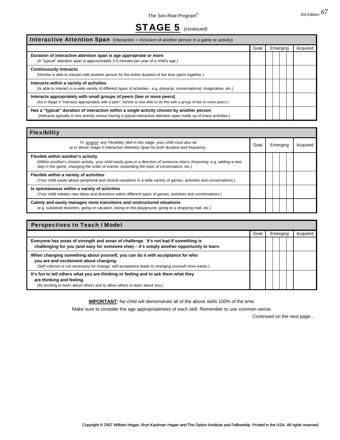

| <b>Interactive Attention Span</b> (Interaction = Inclusion of another person in a game or activity)                                                                                                               |      |          |          |  |  |
|-------------------------------------------------------------------------------------------------------------------------------------------------------------------------------------------------------------------|------|----------|----------|--|--|
|                                                                                                                                                                                                                   | Goal | Emerging | Acquired |  |  |
| Duration of interactive attention span is age appropriate or more<br>(A "typical" attention span is approximately 3-5 minutes per year of a child's age.)                                                         |      |          |          |  |  |
| <b>Continuously Interacts</b><br>(He/she is able to interact with another person for the entire duration of the time spent together.)                                                                             |      |          |          |  |  |
| Interacts within a variety of activities<br>(Is able to interact in a wide variety of different types of activities - e.g. physical, conversational, imaginative, etc.)                                           |      |          |          |  |  |
| Interacts appropriately with small groups of peers (two or more peers)<br>(As in Stage 4 "Interacts appropriately with a peer", he/she is now able to do this with a group of two or more peers.)                 |      |          |          |  |  |
| Has a "typical" duration of interaction within a single activity chosen by another person<br>(Interacts typically in one activity versus having a typical interactive attention span made up of many activities.) |      |          |          |  |  |

| <b>Flexibility</b>                                                                                                                                                                                                                                         |      |          |  |          |  |  |
|------------------------------------------------------------------------------------------------------------------------------------------------------------------------------------------------------------------------------------------------------------|------|----------|--|----------|--|--|
| To acquire any Flexibility Skill in this stage, your child must also be<br>at or above Stage 5 Interactive Attention Span for both duration and frequency.                                                                                                 | Goal | Emerging |  | Acquired |  |  |
| Flexible within another's activity<br>(Within another's chosen activity, your child easily goes in a direction of someone else's chooosing-e.g. adding a new<br>step in the game, changing the order of events, expanding the topic of conversation, etc.) |      |          |  |          |  |  |
| Flexible within a variety of activities<br>(Your child easily allows peripheral and central variations in a wide variety of games, activities and conversations.)                                                                                          |      |          |  |          |  |  |
| Is spontaneous within a variety of activities<br>(Your child initiates new ideas and directions within different types of games, activities and conversations.)                                                                                            |      |          |  |          |  |  |
| Calmly and easily manages most transitions and unstructured situations<br>(e.g. substitute teachers, going on vacation, being on the playground, going to a shopping mall, etc.)                                                                           |      |          |  |          |  |  |

| <b>Perspectives to Teach / Model</b>                                                                                                                                                                                             |      |          |  |  |          |  |
|----------------------------------------------------------------------------------------------------------------------------------------------------------------------------------------------------------------------------------|------|----------|--|--|----------|--|
|                                                                                                                                                                                                                                  | Goal | Emerging |  |  | Acquired |  |
| Everyone has areas of strength and areas of challenge. It's not bad if something is<br>challenging for you (and easy for someone else) – it's simply another opportunity to learn.                                               |      |          |  |  |          |  |
| When changing something about yourself, you can do it with acceptance for who<br>you are and excitement about changing.<br>(Self criticism is not necessary for change, self acceptance leads to changing yourself more easily.) |      |          |  |  |          |  |
| It's fun to tell others what you are thinking or feeling and to ask them what they<br>are thinking and feeling.<br>(Its exciting to learn about others and to allow others to learn about you.)                                  |      |          |  |  |          |  |

**IMPORTANT:** No child will demonstrate all of the above skills 100% of the time.

Make sure to consider the age appropriateness of each skill. Remember to use common sense.